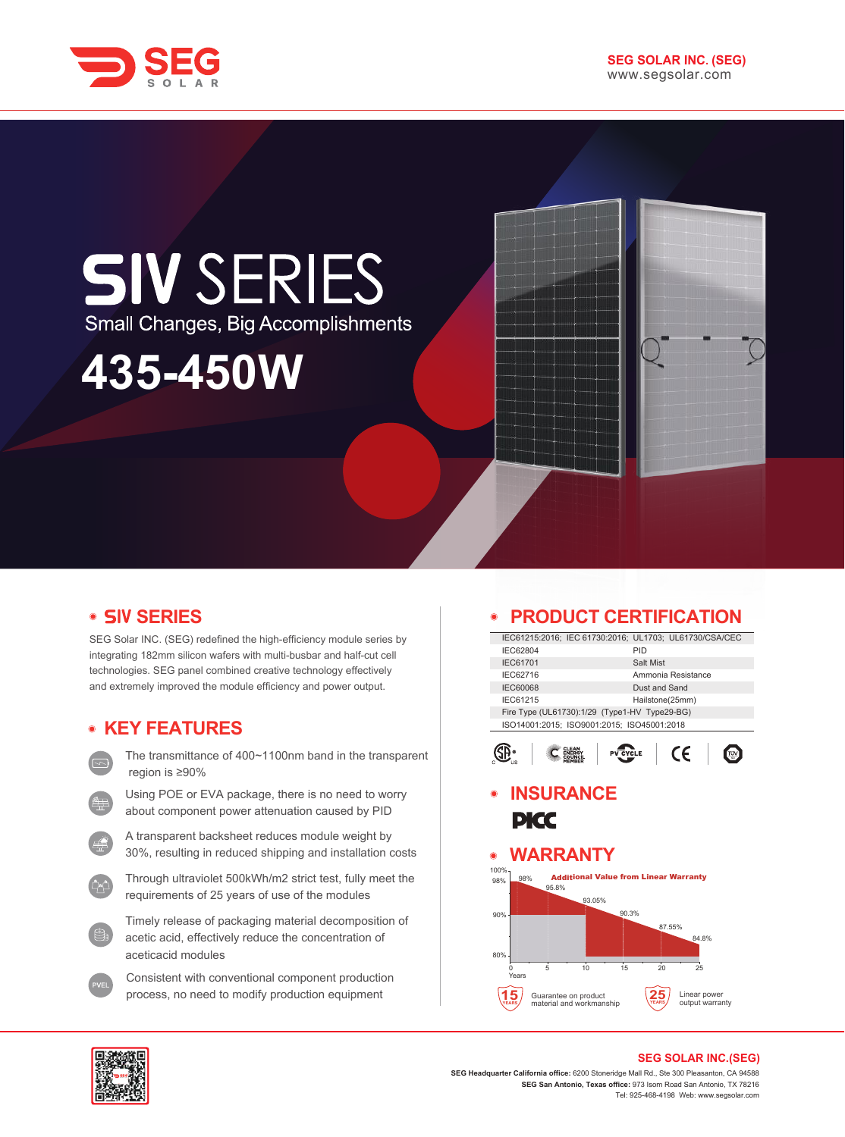



# **• SIV SERIES**

SEG Solar INC. (SEG) redefined the high-efficiency module series by integrating 182mm silicon wafers with multi-busbar and half-cut cell technologies. SEG panel combined creative technology effectively and extremely improved the module efficiency and power output.

# **KEY FEATURES**

- The transmittance of 400~1100nm band in the transparent region is ≥90%
- Using POE or EVA package, there is no need to worry about component power attenuation caused by PID
- A transparent backsheet reduces module weight by 30%, resulting in reduced shipping and installation costs
- Through ultraviolet 500kWh/m2 strict test, fully meet the requirements of 25 years of use of the modules
- Timely release of packaging material decomposition of acetic acid, effectively reduce the concentration of aceticacid modules
- Consistent with conventional component production process, no need to modify production equipment

#### **PRODUCT CERTIFICATION**  $\bullet$

| IEC61215:2016; IEC 61730:2016; UL1703; UL61730/CSA/CEC |                 |               |                    |  |
|--------------------------------------------------------|-----------------|---------------|--------------------|--|
| IEC62804                                               |                 | PID           |                    |  |
| <b>IEC61701</b>                                        |                 | Salt Mist     |                    |  |
| IEC62716                                               |                 |               | Ammonia Resistance |  |
| <b>IEC60068</b>                                        |                 | Dust and Sand |                    |  |
| IEC61215                                               | Hailstone(25mm) |               |                    |  |
| Fire Type (UL61730):1/29 (Type1-HV Type29-BG)          |                 |               |                    |  |
| ISO14001:2015; ISO9001:2015; ISO45001:2018             |                 |               |                    |  |
|                                                        |                 |               |                    |  |
|                                                        |                 |               |                    |  |
|                                                        |                 |               |                    |  |

# **INSURANCE PICC**

#### **WARRANTY**  $\bullet$





### **SEG SOLAR INC.(SEG)**

**SEG Headquarter California office:** 6200 Stoneridge Mall Rd., Ste 300 Pleasanton, CA 94588 **SEG San Antonio, Texas office:** 973 Isom Road San Antonio, TX 78216 Tel: 925-468-4198 Web: www.segsolar.com